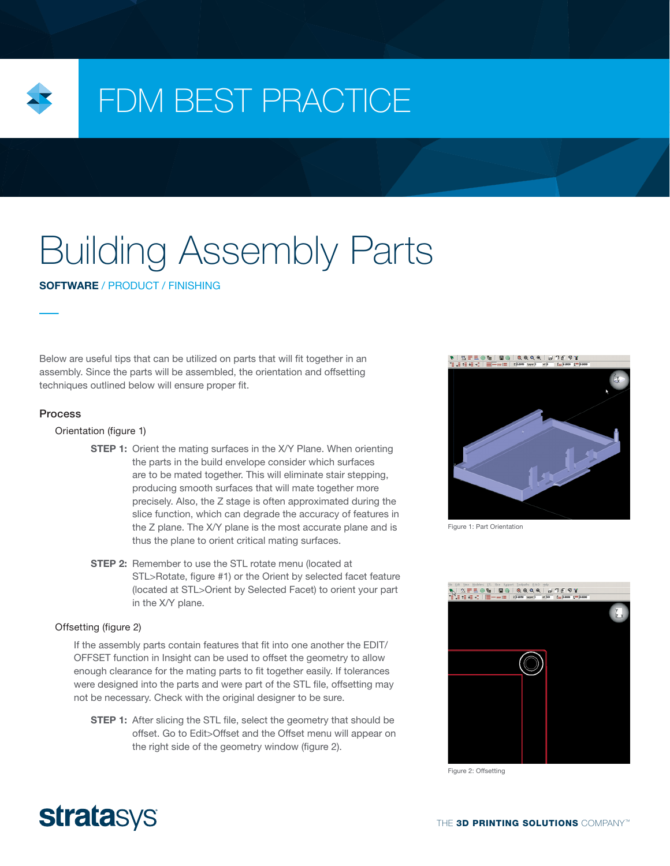

## FDM BEST PRACTICE

# Building Assembly Parts

SOFTWARE / PRODUCT / FINISHING

Below are useful tips that can be utilized on parts that will fit together in an assembly. Since the parts will be assembled, the orientation and offsetting techniques outlined below will ensure proper fit.

#### Process

#### Orientation (figure 1)

- **STEP 1:** Orient the mating surfaces in the X/Y Plane. When orienting the parts in the build envelope consider which surfaces are to be mated together. This will eliminate stair stepping, producing smooth surfaces that will mate together more precisely. Also, the Z stage is often approximated during the slice function, which can degrade the accuracy of features in the Z plane. The X/Y plane is the most accurate plane and is thus the plane to orient critical mating surfaces.
- **STEP 2:** Remember to use the STL rotate menu (located at STL>Rotate, figure #1) or the Orient by selected facet feature (located at STL>Orient by Selected Facet) to orient your part in the X/Y plane.

#### Offsetting (figure 2)

If the assembly parts contain features that fit into one another the EDIT/ OFFSET function in Insight can be used to offset the geometry to allow enough clearance for the mating parts to fit together easily. If tolerances were designed into the parts and were part of the STL file, offsetting may not be necessary. Check with the original designer to be sure.

**STEP 1:** After slicing the STL file, select the geometry that should be offset. Go to Edit>Offset and the Offset menu will appear on the right side of the geometry window (figure 2).



Figure 1: Part Orientation



Figure 2: Offsetting

### **stratasys**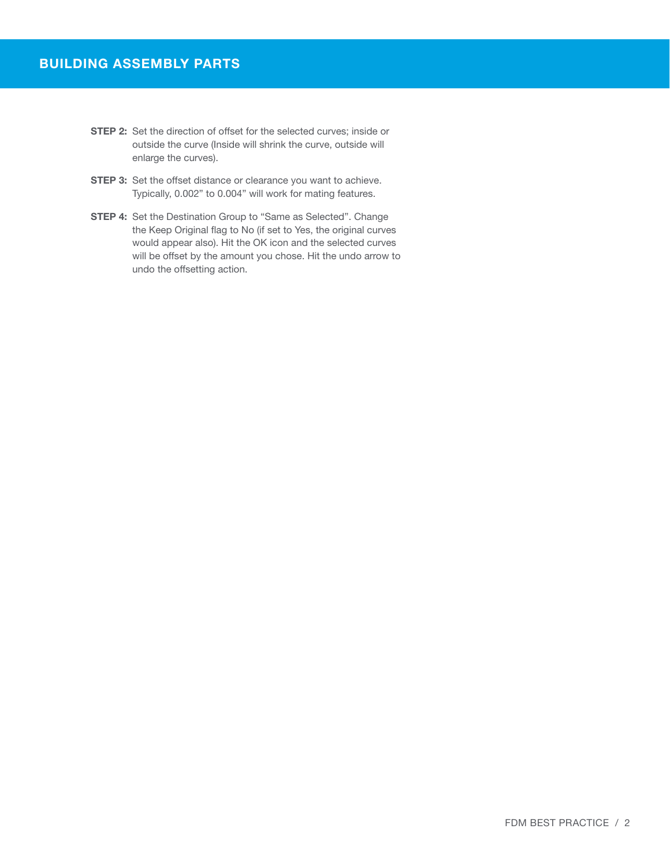- **STEP 2:** Set the direction of offset for the selected curves; inside or outside the curve (Inside will shrink the curve, outside will enlarge the curves).
- **STEP 3:** Set the offset distance or clearance you want to achieve. Typically, 0.002" to 0.004" will work for mating features.
- **STEP 4:** Set the Destination Group to "Same as Selected". Change the Keep Original flag to No (if set to Yes, the original curves would appear also). Hit the OK icon and the selected curves will be offset by the amount you chose. Hit the undo arrow to undo the offsetting action.